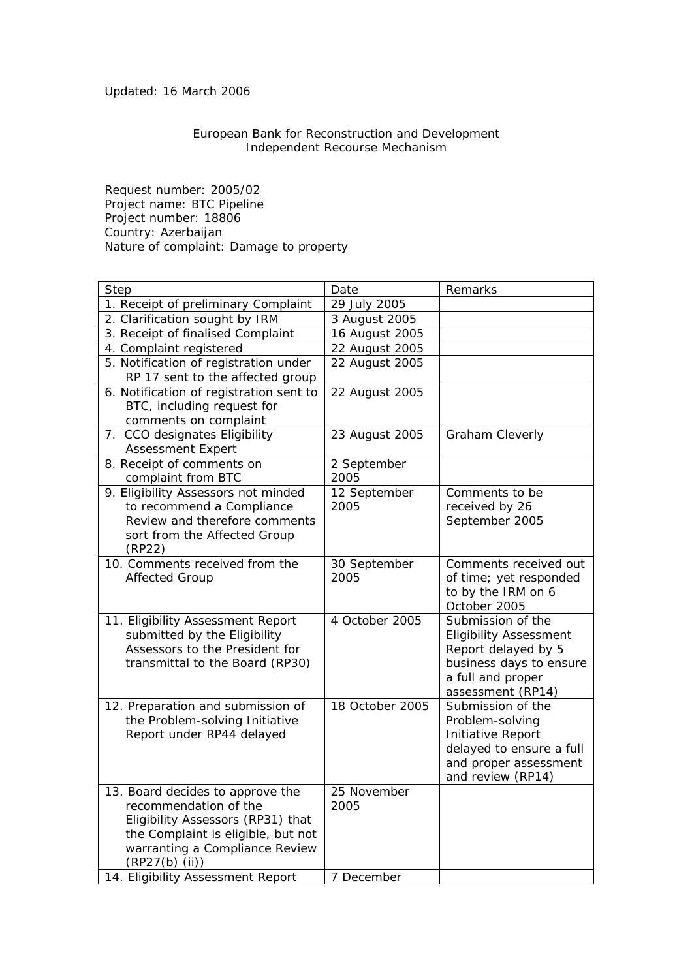## Updated: 16 March 2006

## European Bank for Reconstruction and Development Independent Recourse Mechanism

Request number: 2005/02 Project name: BTC Pipeline Project number: 18806 Country: Azerbaijan Nature of complaint: Damage to property

| Step                                                                                                                                                                                                                          | Date                              | Remarks                                                                                                                                        |
|-------------------------------------------------------------------------------------------------------------------------------------------------------------------------------------------------------------------------------|-----------------------------------|------------------------------------------------------------------------------------------------------------------------------------------------|
| 1. Receipt of preliminary Complaint                                                                                                                                                                                           | 29 July 2005                      |                                                                                                                                                |
| 2. Clarification sought by IRM                                                                                                                                                                                                | 3 August 2005                     |                                                                                                                                                |
| 3. Receipt of finalised Complaint                                                                                                                                                                                             | 16 August 2005                    |                                                                                                                                                |
| 4. Complaint registered                                                                                                                                                                                                       | 22 August 2005                    |                                                                                                                                                |
| 5. Notification of registration under<br>RP 17 sent to the affected group                                                                                                                                                     | 22 August 2005                    |                                                                                                                                                |
| 6. Notification of registration sent to<br>BTC, including request for<br>comments on complaint                                                                                                                                | 22 August 2005                    |                                                                                                                                                |
| 7. CCO designates Eligibility<br><b>Assessment Expert</b>                                                                                                                                                                     | 23 August 2005                    | Graham Cleverly                                                                                                                                |
| 8. Receipt of comments on<br>complaint from BTC                                                                                                                                                                               | 2 September<br>2005               |                                                                                                                                                |
| 9. Eligibility Assessors not minded<br>to recommend a Compliance<br>Review and therefore comments<br>sort from the Affected Group<br>(RP22)                                                                                   | 12 September<br>2005              | Comments to be<br>received by 26<br>September 2005                                                                                             |
| 10. Comments received from the<br><b>Affected Group</b>                                                                                                                                                                       | 30 September<br>2005              | Comments received out<br>of time; yet responded<br>to by the IRM on 6<br>October 2005                                                          |
| 11. Eligibility Assessment Report<br>submitted by the Eligibility<br>Assessors to the President for<br>transmittal to the Board (RP30)                                                                                        | 4 October 2005                    | Submission of the<br><b>Eligibility Assessment</b><br>Report delayed by 5<br>business days to ensure<br>a full and proper<br>assessment (RP14) |
| 12. Preparation and submission of<br>the Problem-solving Initiative<br>Report under RP44 delayed                                                                                                                              | 18 October 2005                   | Submission of the<br>Problem-solving<br>Initiative Report<br>delayed to ensure a full<br>and proper assessment<br>and review (RP14)            |
| 13. Board decides to approve the<br>recommendation of the<br>Eligibility Assessors (RP31) that<br>the Complaint is eligible, but not<br>warranting a Compliance Review<br>(RP27(b) (ii))<br>14. Eligibility Assessment Report | 25 November<br>2005<br>7 December |                                                                                                                                                |